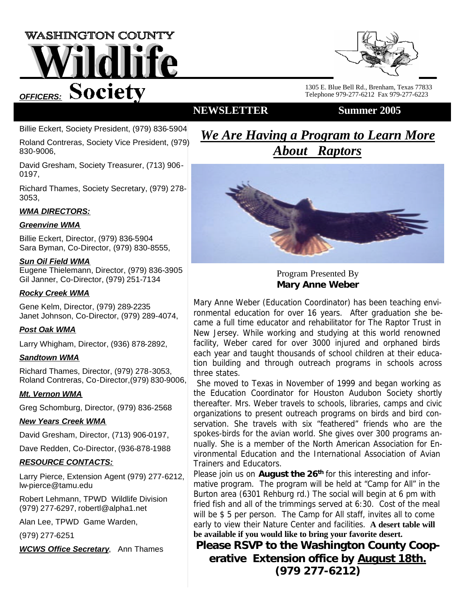# **WASHINGTON COUNTY** dlife **OFFICERS:** Society



1305 E. Blue Bell Rd., Brenham, Texas 77833 Telephone 979-277-6212 Fax 979-277-6223

### **NEWSLETTER Summer 2005**

Billie Eckert, Society President, (979) 836-5904

Roland Contreras, Society Vice President, (979) 830-9006,

David Gresham, Society Treasurer, (713) 906- 0197,

Richard Thames, Society Secretary, (979) 278- 3053,

#### *WMA DIRECTORS:*

#### *Greenvine WMA*

Billie Eckert, Director, (979) 836-5904 Sara Byman, Co-Director, (979) 830-8555,

#### *Sun Oil Field WMA*

Eugene Thielemann, Director, (979) 836-3905 Gil Janner, Co-Director, (979) 251-7134

#### *Rocky Creek WMA*

Gene Kelm, Director, (979) 289-2235 Janet Johnson, Co-Director, (979) 289-4074,

#### *Post Oak WMA*

Larry Whigham, Director, (936) 878-2892,

#### *Sandtown WMA*

Richard Thames, Director, (979) 278-3053, Roland Contreras, Co-Director,(979) 830-9006,

#### *Mt. Vernon WMA*

Greg Schomburg, Director, (979) 836-2568

#### *New Years Creek WMA*

David Gresham, Director, (713) 906-0197,

Dave Redden, Co-Director, (936-878-1988

#### *RESOURCE CONTACTS:*

Larry Pierce, Extension Agent (979) 277-6212, lw-pierce@tamu.edu

Robert Lehmann, TPWD Wildlife Division (979) 277-6297, robertl@alpha1.net

Alan Lee, TPWD Game Warden,

(979) 277-6251

*WCWS Office Secretary*, Ann Thames

*We Are Having a Program to Learn More About Raptors*



Program Presented By **Mary Anne Weber**

Mary Anne Weber (Education Coordinator) has been teaching environmental education for over 16 years. After graduation she became a full time educator and rehabilitator for The Raptor Trust in New Jersey. While working and studying at this world renowned facility, Weber cared for over 3000 injured and orphaned birds each year and taught thousands of school children at their education building and through outreach programs in schools across three states.

 She moved to Texas in November of 1999 and began working as the Education Coordinator for Houston Audubon Society shortly thereafter. Mrs. Weber travels to schools, libraries, camps and civic organizations to present outreach programs on birds and bird conservation. She travels with six "feathered" friends who are the spokes-birds for the avian world. She gives over 300 programs annually. She is a member of the North American Association for Environmental Education and the International Association of Avian Trainers and Educators.

Please join us on **August the 26th** for this interesting and informative program. The program will be held at "Camp for All" in the Burton area (6301 Rehburg rd.) The social will begin at 6 pm with fried fish and all of the trimmings served at 6:30. Cost of the meal will be \$ 5 per person. The Camp for All staff, invites all to come early to view their Nature Center and facilities. **A desert table will be available if you would like to bring your favorite desert.**

**Please RSVP to the Washington County Cooperative Extension office by August 18th. (979 277-6212)**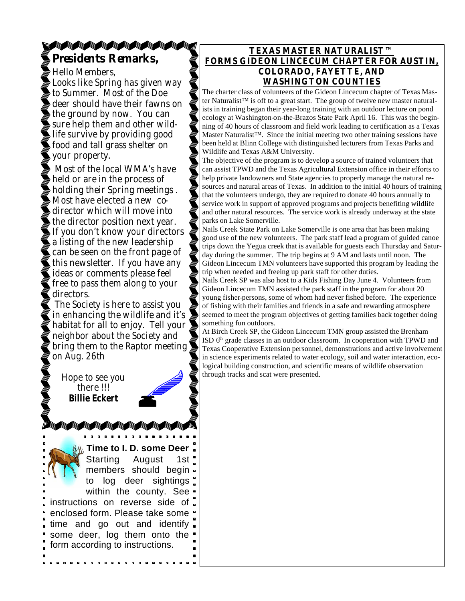### **TANAN ANG KABA Presidents Remarks,**

Hello Members, Looks like Spring has given way to Summer. Most of the Doe deer should have their fawns on the ground by now. You can sure help them and other wildlife survive by providing good food and tall grass shelter on your property.

 Most of the local WMA's have held or are in the process of holding their Spring meetings . Most have elected a new codirector which will move into the director position next year. If you don't know your directors a listing of the new leadership can be seen on the front page of this newsletter. If you have any ideas or comments please feel free to pass them along to your directors.

 The Society is here to assist you in enhancing the wildlife and it's habitat for all to enjoy. Tell your neighbor about the Society and bring them to the Raptor meeting on Aug. 26th

Hope to see you there !!! **Billie Eckert** 

**Time to I. D. some Deer** Starting August 1st members should begin to log deer sightings within the county. See instructions on reverse side of enclosed form. Please take some " time and go out and identify some deer, log them onto the form according to instructions.

#### **TEXAS MASTER NATURALIST™ FORMS GIDEON LINCECUM CHAPTER FOR AUSTIN, COLORADO, FAYETTE, AND WASHINGTON COUNTIES**

The charter class of volunteers of the Gideon Lincecum chapter of Texas Master Naturalist™ is off to a great start. The group of twelve new master naturalists in training began their year-long training with an outdoor lecture on pond ecology at Washington-on-the-Brazos State Park April 16. This was the beginning of 40 hours of classroom and field work leading to certification as a Texas Master Naturalist™. Since the initial meeting two other training sessions have been held at Blinn College with distinguished lecturers from Texas Parks and Wildlife and Texas A&M University.

The objective of the program is to develop a source of trained volunteers that can assist TPWD and the Texas Agricultural Extension office in their efforts to help private landowners and State agencies to properly manage the natural resources and natural areas of Texas. In addition to the initial 40 hours of training that the volunteers undergo, they are required to donate 40 hours annually to service work in support of approved programs and projects benefiting wildlife and other natural resources. The service work is already underway at the state parks on Lake Somerville.

Nails Creek State Park on Lake Somerville is one area that has been making good use of the new volunteers. The park staff lead a program of guided canoe trips down the Yegua creek that is available for guests each Thursday and Saturday during the summer. The trip begins at 9 AM and lasts until noon. The Gideon Lincecum TMN volunteers have supported this program by leading the trip when needed and freeing up park staff for other duties.

Nails Creek SP was also host to a Kids Fishing Day June 4. Volunteers from Gideon Lincecum TMN assisted the park staff in the program for about 20 young fisher-persons, some of whom had never fished before. The experience of fishing with their families and friends in a safe and rewarding atmosphere seemed to meet the program objectives of getting families back together doing something fun outdoors.

At Birch Creek SP, the Gideon Lincecum TMN group assisted the Brenham ISD  $6<sup>th</sup>$  grade classes in an outdoor classroom. In cooperation with TPWD and Texas Cooperative Extension personnel, demonstrations and active involvement in science experiments related to water ecology, soil and water interaction, ecological building construction, and scientific means of wildlife observation through tracks and scat were presented.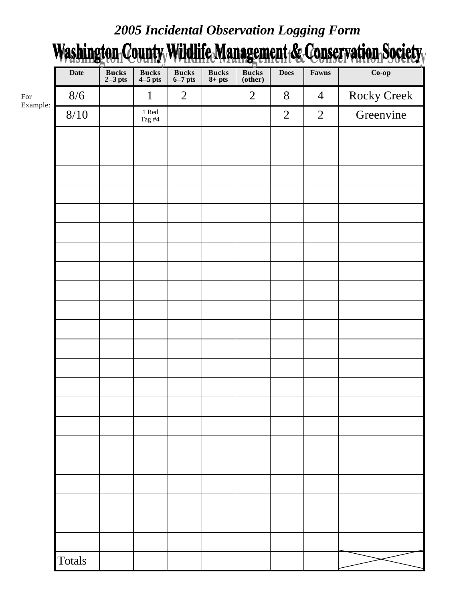## *2005 Incidental Observation Logging Form*

# Washington County Wildlife Management & Conservation Society

|          | <b>Date</b>   | Bucks<br>2-3 pts | Bucks<br>4-5 pts               | Bucks<br>6-7 pts | $\frac{\text{Bucks}}{\text{8+ pts}}$ | <b>Bucks</b><br>(other) | <b>Does</b>    | Fawns          | $Co$ -op           |
|----------|---------------|------------------|--------------------------------|------------------|--------------------------------------|-------------------------|----------------|----------------|--------------------|
| Example: | 8/6           |                  | $\mathbf{1}$                   | $\overline{2}$   |                                      | $\overline{2}$          | $8\,$          | $\overline{4}$ | <b>Rocky Creek</b> |
|          | $8/10$        |                  | $1\ \mathrm{Red}$<br>Tag $\#4$ |                  |                                      |                         | $\overline{2}$ | $\overline{2}$ | Greenvine          |
|          |               |                  |                                |                  |                                      |                         |                |                |                    |
|          |               |                  |                                |                  |                                      |                         |                |                |                    |
|          |               |                  |                                |                  |                                      |                         |                |                |                    |
|          |               |                  |                                |                  |                                      |                         |                |                |                    |
|          |               |                  |                                |                  |                                      |                         |                |                |                    |
|          |               |                  |                                |                  |                                      |                         |                |                |                    |
|          |               |                  |                                |                  |                                      |                         |                |                |                    |
|          |               |                  |                                |                  |                                      |                         |                |                |                    |
|          |               |                  |                                |                  |                                      |                         |                |                |                    |
|          |               |                  |                                |                  |                                      |                         |                |                |                    |
|          |               |                  |                                |                  |                                      |                         |                |                |                    |
|          |               |                  |                                |                  |                                      |                         |                |                |                    |
|          |               |                  |                                |                  |                                      |                         |                |                |                    |
|          |               |                  |                                |                  |                                      |                         |                |                |                    |
|          |               |                  |                                |                  |                                      |                         |                |                |                    |
|          |               |                  |                                |                  |                                      |                         |                |                |                    |
|          |               |                  |                                |                  |                                      |                         |                |                |                    |
|          |               |                  |                                |                  |                                      |                         |                |                |                    |
|          |               |                  |                                |                  |                                      |                         |                |                |                    |
|          |               |                  |                                |                  |                                      |                         |                |                |                    |
|          |               |                  |                                |                  |                                      |                         |                |                |                    |
|          | <b>Totals</b> |                  |                                |                  |                                      |                         |                |                |                    |